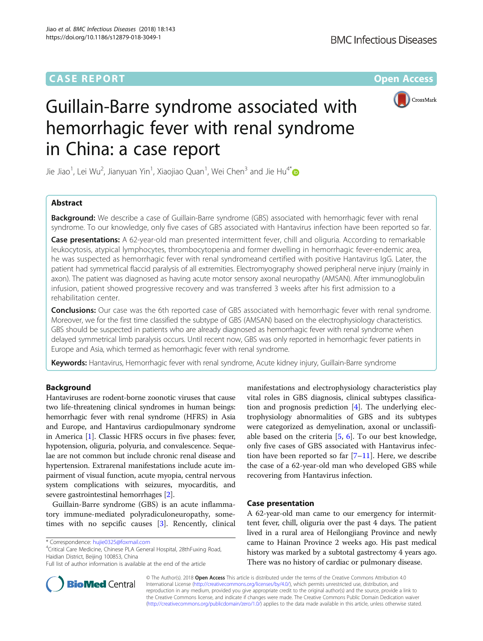## **CASE REPORT CASE ACCESS**



# Guillain-Barre syndrome associated with hemorrhagic fever with renal syndrome in China: a case report

Jie Jiao $^1$ , Lei Wu $^2$ , Jianyuan Yin $^1$ , Xiaojiao Quan $^1$ , Wei Chen $^3$  and Jie Hu $^{4^\ast}$ 

## Abstract

Background: We describe a case of Guillain-Barre syndrome (GBS) associated with hemorrhagic fever with renal syndrome. To our knowledge, only five cases of GBS associated with Hantavirus infection have been reported so far.

Case presentations: A 62-year-old man presented intermittent fever, chill and oliguria. According to remarkable leukocytosis, atypical lymphocytes, thrombocytopenia and former dwelling in hemorrhagic fever-endemic area, he was suspected as hemorrhagic fever with renal syndromeand certified with positive Hantavirus IgG. Later, the patient had symmetrical flaccid paralysis of all extremities. Electromyography showed peripheral nerve injury (mainly in axon). The patient was diagnosed as having acute motor sensory axonal neuropathy (AMSAN). After immunoglobulin infusion, patient showed progressive recovery and was transferred 3 weeks after his first admission to a rehabilitation center.

**Conclusions:** Our case was the 6th reported case of GBS associated with hemorrhagic fever with renal syndrome. Moreover, we for the first time classified the subtype of GBS (AMSAN) based on the electrophysiology characteristics. GBS should be suspected in patients who are already diagnosed as hemorrhagic fever with renal syndrome when delayed symmetrical limb paralysis occurs. Until recent now, GBS was only reported in hemorrhagic fever patients in Europe and Asia, which termed as hemorrhagic fever with renal syndrome.

Keywords: Hantavirus, Hemorrhagic fever with renal syndrome, Acute kidney injury, Guillain-Barre syndrome

## Background

Hantaviruses are rodent-borne zoonotic viruses that cause two life-threatening clinical syndromes in human beings: hemorrhagic fever with renal syndrome (HFRS) in Asia and Europe, and Hantavirus cardiopulmonary syndrome in America [\[1](#page-3-0)]. Classic HFRS occurs in five phases: fever, hypotension, oliguria, polyuria, and convalescence. Sequelae are not common but include chronic renal disease and hypertension. Extrarenal manifestations include acute impairment of visual function, acute myopia, central nervous system complications with seizures, myocarditis, and severe gastrointestinal hemorrhages [\[2](#page-3-0)].

Guillain-Barre syndrome (GBS) is an acute inflammatory immune-mediated polyradiculoneuropathy, sometimes with no sepcific causes [[3\]](#page-3-0). Rencently, clinical

Critical Care Medicine, Chinese PLA General Hospital, 28thFuxing Road, Haidian District, Beijing 100853, China

manifestations and electrophysiology characteristics play vital roles in GBS diagnosis, clinical subtypes classification and prognosis prediction [[4\]](#page-3-0). The underlying electrophysiology abnormalities of GBS and its subtypes were categorized as demyelination, axonal or unclassifiable based on the criteria  $[5, 6]$  $[5, 6]$  $[5, 6]$  $[5, 6]$ . To our best knowledge, only five cases of GBS associated with Hantavirus infection have been reported so far  $[7-11]$  $[7-11]$  $[7-11]$  $[7-11]$ . Here, we describe the case of a 62-year-old man who developed GBS while recovering from Hantavirus infection.

### Case presentation

A 62-year-old man came to our emergency for intermittent fever, chill, oliguria over the past 4 days. The patient lived in a rural area of Heilongjiang Province and newly came to Hainan Province 2 weeks ago. His past medical history was marked by a subtotal gastrectomy 4 years ago. There was no history of cardiac or pulmonary disease.



© The Author(s). 2018 Open Access This article is distributed under the terms of the Creative Commons Attribution 4.0 International License [\(http://creativecommons.org/licenses/by/4.0/](http://creativecommons.org/licenses/by/4.0/)), which permits unrestricted use, distribution, and reproduction in any medium, provided you give appropriate credit to the original author(s) and the source, provide a link to the Creative Commons license, and indicate if changes were made. The Creative Commons Public Domain Dedication waiver [\(http://creativecommons.org/publicdomain/zero/1.0/](http://creativecommons.org/publicdomain/zero/1.0/)) applies to the data made available in this article, unless otherwise stated.

<sup>\*</sup> Correspondence: [hujie0325@foxmail.com](mailto:hujie0325@foxmail.com) <sup>4</sup>

Full list of author information is available at the end of the article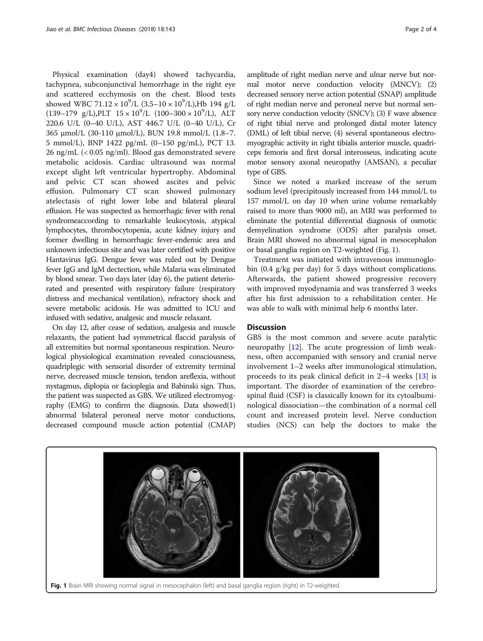Physical examination (day4) showed tachycardia, tachypnea, subconjunctival hemorrhage in the right eye and scattered ecchymosis on the chest. Blood tests showed WBC  $71.12 \times 10^9$ /L  $(3.5-10 \times 10^9$ /L),Hb 194 g/L  $(139-179 \text{ g/L}),$ PLT  $15 \times 10^9$ /L  $(100-300 \times 10^9)$ , ALT 220.6 U/L (0–40 U/L), AST 446.7 U/L (0–40 U/L), Cr 365 μmol/L (30-110 μmol/L), BUN 19.8 mmol/L (1.8–7. 5 mmol/L), BNP 1422 pg/mL (0–150 pg/mL), PCT 13. 26 ng/mL (< 0.05 ng/ml). Blood gas demonstrated severe metabolic acidosis. Cardiac ultrasound was normal except slight left ventricular hypertrophy. Abdominal and pelvic CT scan showed ascites and pelvic effusion. Pulmonary CT scan showed pulmonary atelectasis of right lower lobe and bilateral pleural effusion. He was suspected as hemorrhagic fever with renal syndromeaccording to remarkable leukocytosis, atypical lymphocytes, thrombocytopenia, acute kidney injury and former dwelling in hemorrhagic fever-endemic area and unknown infectious site and was later certified with positive Hantavirus IgG. Dengue fever was ruled out by Dengue fever IgG and IgM dectection, while Malaria was eliminated by blood smear. Two days later (day 6), the patient deteriorated and presented with respiratory failure (respiratory distress and mechanical ventilation), refractory shock and severe metabolic acidosis. He was admitted to ICU and infused with sedative, analgesic and muscle relaxant.

On day 12, after cease of sedation, analgesia and muscle relaxants, the patient had symmetrical flaccid paralysis of all extremities but normal spontaneous respiration. Neurological physiological examination revealed consciousness, quadriplegic with sensorial disorder of extremity terminal nerve, decreased muscle tension, tendon areflexia, without nystagmus, diplopia or facioplegia and Babinski sign. Thus, the patient was suspected as GBS. We utilized electromyography (EMG) to confirm the diagnosis. Data showed(1) abnormal bilateral peroneal nerve motor conductions, decreased compound muscle action potential (CMAP) amplitude of right median nerve and ulnar nerve but normal motor nerve conduction velocity (MNCV); (2) decreased sensory nerve action potential (SNAP) amplitude of right median nerve and peroneal nerve but normal sensory nerve conduction velocity (SNCV); (3) F wave absence of right tibial nerve and prolonged distal moter latency (DML) of left tibial nerve; (4) several spontaneous electromyographic activity in right tibialis anterior muscle, quadriceps femoris and first dorsal interosseus, indicating acute motor sensory axonal neuropathy (AMSAN), a peculiar type of GBS.

Since we noted a marked increase of the serum sodium level (precipitously increased from 144 mmol/L to 157 mmol/L on day 10 when urine volume remarkably raised to more than 9000 ml), an MRI was performed to eliminate the potential differential diagnosis of osmotic demyelination syndrome (ODS) after paralysis onset. Brain MRI showed no abnormal signal in mesocephalon or basal ganglia region on T2-weighted (Fig. 1).

Treatment was initiated with intravenous immunoglobin (0.4 g/kg per day) for 5 days without complications. Afterwards, the patient showed progressive recovery with improved myodynamia and was transferred 3 weeks after his first admission to a rehabilitation center. He was able to walk with minimal help 6 months later.

## **Discussion**

GBS is the most common and severe acute paralytic neuropathy  $[12]$ . The acute progression of limb weakness, often accompanied with sensory and cranial nerve involvement 1–2 weeks after immunological stimulation, proceeds to its peak clinical deficit in 2–4 weeks [[13](#page-3-0)] is important. The disorder of examination of the cerebrospinal fluid (CSF) is classically known for its cytoalbuminological dissociation—the combination of a normal cell count and increased protein level. Nerve conduction studies (NCS) can help the doctors to make the

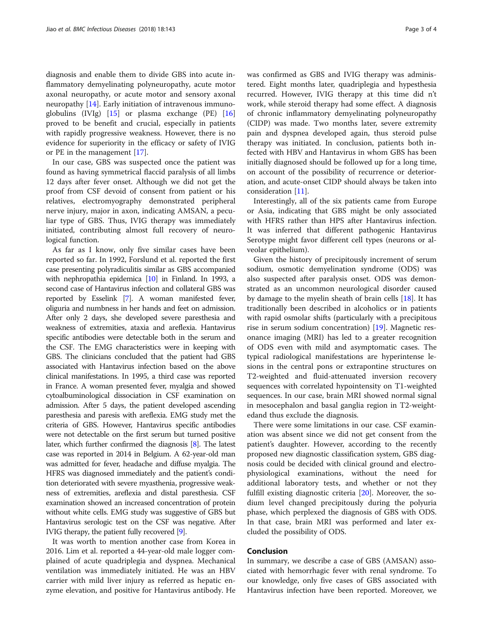diagnosis and enable them to divide GBS into acute inflammatory demyelinating polyneuropathy, acute motor axonal neuropathy, or acute motor and sensory axonal neuropathy  $[14]$  $[14]$ . Early initiation of intravenous immunoglobulins (IVIg) [[15\]](#page-3-0) or plasma exchange (PE) [[16](#page-3-0)] proved to be benefit and crucial, especially in patients with rapidly progressive weakness. However, there is no evidence for superiority in the efficacy or safety of IVIG or PE in the management [[17\]](#page-3-0).

In our case, GBS was suspected once the patient was found as having symmetrical flaccid paralysis of all limbs 12 days after fever onset. Although we did not get the proof from CSF devoid of consent from patient or his relatives, electromyography demonstrated peripheral nerve injury, major in axon, indicating AMSAN, a peculiar type of GBS. Thus, IVIG therapy was immediately initiated, contributing almost full recovery of neurological function.

As far as I know, only five similar cases have been reported so far. In 1992, Forslund et al. reported the first case presenting polyradiculitis similar as GBS accompanied with nephropathia epidemica [\[10\]](#page-3-0) in Finland. In 1993, a second case of Hantavirus infection and collateral GBS was reported by Esselink [\[7](#page-3-0)]. A woman manifested fever, oliguria and numbness in her hands and feet on admission. After only 2 days, she developed severe paresthesia and weakness of extremities, ataxia and areflexia. Hantavirus specific antibodies were detectable both in the serum and the CSF. The EMG characteristics were in keeping with GBS. The clinicians concluded that the patient had GBS associated with Hantavirus infection based on the above clinical manifestations. In 1995, a third case was reported in France. A woman presented fever, myalgia and showed cytoalbuminological dissociation in CSF examination on admission. After 5 days, the patient developed ascending paresthesia and paresis with areflexia. EMG study met the criteria of GBS. However, Hantavirus specific antibodies were not detectable on the first serum but turned positive later, which further confirmed the diagnosis [\[8\]](#page-3-0). The latest case was reported in 2014 in Belgium. A 62-year-old man was admitted for fever, headache and diffuse myalgia. The HFRS was diagnosed immediately and the patient's condition deteriorated with severe myasthenia, progressive weakness of extremities, areflexia and distal paresthesia. CSF examination showed an increased concentration of protein without white cells. EMG study was suggestive of GBS but Hantavirus serologic test on the CSF was negative. After IVIG therapy, the patient fully recovered [[9](#page-3-0)].

It was worth to mention another case from Korea in 2016. Lim et al. reported a 44-year-old male logger complained of acute quadriplegia and dyspnea. Mechanical ventilation was immediately initiated. He was an HBV carrier with mild liver injury as referred as hepatic enzyme elevation, and positive for Hantavirus antibody. He was confirmed as GBS and IVIG therapy was administered. Eight months later, quadriplegia and hypesthesia recurred. However, IVIG therapy at this time did n't work, while steroid therapy had some effect. A diagnosis of chronic inflammatory demyelinating polyneuropathy (CIDP) was made. Two months later, severe extremity pain and dyspnea developed again, thus steroid pulse therapy was initiated. In conclusion, patients both infected with HBV and Hantavirus in whom GBS has been initially diagnosed should be followed up for a long time, on account of the possibility of recurrence or deterioration, and acute-onset CIDP should always be taken into consideration [\[11\]](#page-3-0).

Interestingly, all of the six patients came from Europe or Asia, indicating that GBS might be only associated with HFRS rather than HPS after Hantavirus infection. It was inferred that different pathogenic Hantavirus Serotype might favor different cell types (neurons or alveolar epithelium).

Given the history of precipitously increment of serum sodium, osmotic demyelination syndrome (ODS) was also suspected after paralysis onset. ODS was demonstrated as an uncommon neurological disorder caused by damage to the myelin sheath of brain cells  $[18]$  $[18]$ . It has traditionally been described in alcoholics or in patients with rapid osmolar shifts (particularly with a precipitous rise in serum sodium concentration) [[19\]](#page-3-0). Magnetic resonance imaging (MRI) has led to a greater recognition of ODS even with mild and asymptomatic cases. The typical radiological manifestations are hyperintense lesions in the central pons or extrapontine structures on T2-weighted and fluid-attenuated inversion recovery sequences with correlated hypointensity on T1-weighted sequences. In our case, brain MRI showed normal signal in mesocephalon and basal ganglia region in T2-weightedand thus exclude the diagnosis.

There were some limitations in our case. CSF examination was absent since we did not get consent from the patient's daughter. However, according to the recently proposed new diagnostic classification system, GBS diagnosis could be decided with clinical ground and electrophysiological examinations, without the need for additional laboratory tests, and whether or not they fulfill existing diagnostic criteria [[20](#page-3-0)]. Moreover, the sodium level changed precipitously during the polyuria phase, which perplexed the diagnosis of GBS with ODS. In that case, brain MRI was performed and later excluded the possibility of ODS.

## Conclusion

In summary, we describe a case of GBS (AMSAN) associated with hemorrhagic fever with renal syndrome. To our knowledge, only five cases of GBS associated with Hantavirus infection have been reported. Moreover, we